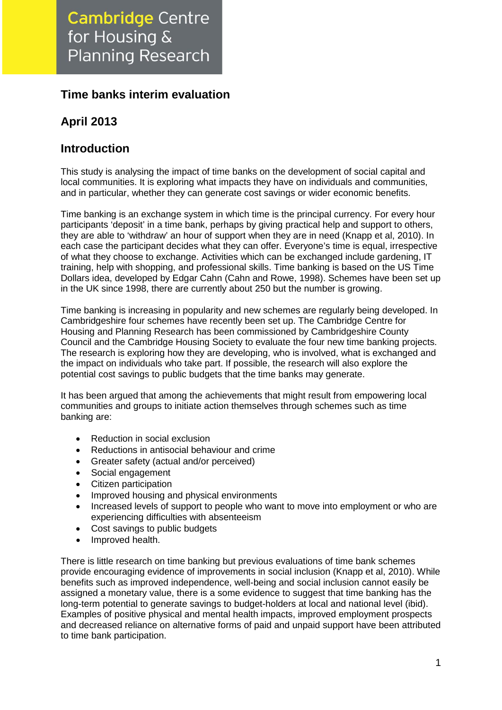# **Time banks interim evaluation**

# **April 2013**

## **Introduction**

This study is analysing the impact of time banks on the development of social capital and local communities. It is exploring what impacts they have on individuals and communities, and in particular, whether they can generate cost savings or wider economic benefits.

Time banking is an exchange system in which time is the principal currency. For every hour participants 'deposit' in a time bank, perhaps by giving practical help and support to others, they are able to 'withdraw' an hour of support when they are in need (Knapp et al, 2010). In each case the participant decides what they can offer. Everyone's time is equal, irrespective of what they choose to exchange. Activities which can be exchanged include gardening, IT training, help with shopping, and professional skills. Time banking is based on the US Time Dollars idea, developed by Edgar Cahn (Cahn and Rowe, 1998). Schemes have been set up in the UK since 1998, there are currently about 250 but the number is growing.

Time banking is increasing in popularity and new schemes are regularly being developed. In Cambridgeshire four schemes have recently been set up. The Cambridge Centre for Housing and Planning Research has been commissioned by Cambridgeshire County Council and the Cambridge Housing Society to evaluate the four new time banking projects. The research is exploring how they are developing, who is involved, what is exchanged and the impact on individuals who take part. If possible, the research will also explore the potential cost savings to public budgets that the time banks may generate.

It has been argued that among the achievements that might result from empowering local communities and groups to initiate action themselves through schemes such as time banking are:

- Reduction in social exclusion
- Reductions in antisocial behaviour and crime
- Greater safety (actual and/or perceived)
- Social engagement
- Citizen participation
- Improved housing and physical environments
- Increased levels of support to people who want to move into employment or who are experiencing difficulties with absenteeism
- Cost savings to public budgets
- Improved health.

There is little research on time banking but previous evaluations of time bank schemes provide encouraging evidence of improvements in social inclusion (Knapp et al, 2010). While benefits such as improved independence, well-being and social inclusion cannot easily be assigned a monetary value, there is a some evidence to suggest that time banking has the long-term potential to generate savings to budget-holders at local and national level (ibid). Examples of positive physical and mental health impacts, improved employment prospects and decreased reliance on alternative forms of paid and unpaid support have been attributed to time bank participation.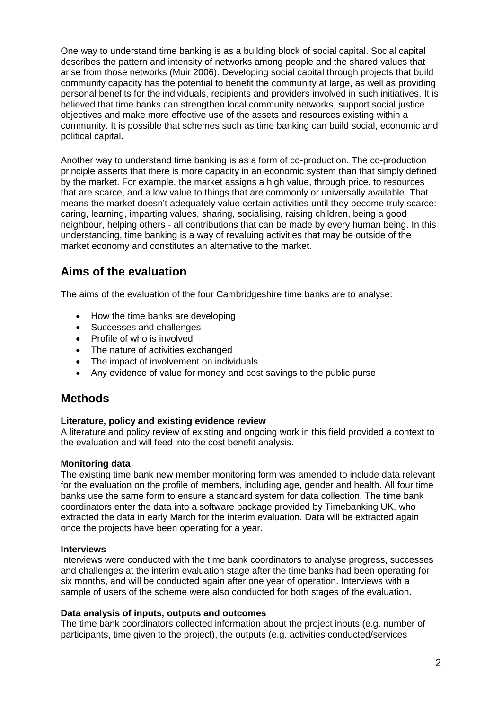One way to understand time banking is as a building block of social capital. Social capital describes the pattern and intensity of networks among people and the shared values that arise from those networks (Muir 2006). Developing social capital through projects that build community capacity has the potential to benefit the community at large, as well as providing personal benefits for the individuals, recipients and providers involved in such initiatives. It is believed that time banks can strengthen local community networks, support social justice objectives and make more effective use of the assets and resources existing within a community. It is possible that schemes such as time banking can build social, economic and political capital**.**

Another way to understand time banking is as a form of co-production. The co-production principle asserts that there is more capacity in an economic system than that simply defined by the market. For example, the market assigns a high value, through price, to resources that are scarce, and a low value to things that are commonly or universally available. That means the market doesn't adequately value certain activities until they become truly scarce: caring, learning, imparting values, sharing, socialising, raising children, being a good neighbour, helping others - all contributions that can be made by every human being. In this understanding, time banking is a way of revaluing activities that may be outside of the market economy and constitutes an alternative to the market.

## **Aims of the evaluation**

The aims of the evaluation of the four Cambridgeshire time banks are to analyse:

- How the time banks are developing
- Successes and challenges
- Profile of who is involved
- The nature of activities exchanged
- The impact of involvement on individuals
- Any evidence of value for money and cost savings to the public purse

## **Methods**

#### **Literature, policy and existing evidence review**

A literature and policy review of existing and ongoing work in this field provided a context to the evaluation and will feed into the cost benefit analysis.

#### **Monitoring data**

The existing time bank new member monitoring form was amended to include data relevant for the evaluation on the profile of members, including age, gender and health. All four time banks use the same form to ensure a standard system for data collection. The time bank coordinators enter the data into a software package provided by Timebanking UK, who extracted the data in early March for the interim evaluation. Data will be extracted again once the projects have been operating for a year.

#### **Interviews**

Interviews were conducted with the time bank coordinators to analyse progress, successes and challenges at the interim evaluation stage after the time banks had been operating for six months, and will be conducted again after one year of operation. Interviews with a sample of users of the scheme were also conducted for both stages of the evaluation.

#### **Data analysis of inputs, outputs and outcomes**

The time bank coordinators collected information about the project inputs (e.g. number of participants, time given to the project), the outputs (e.g. activities conducted/services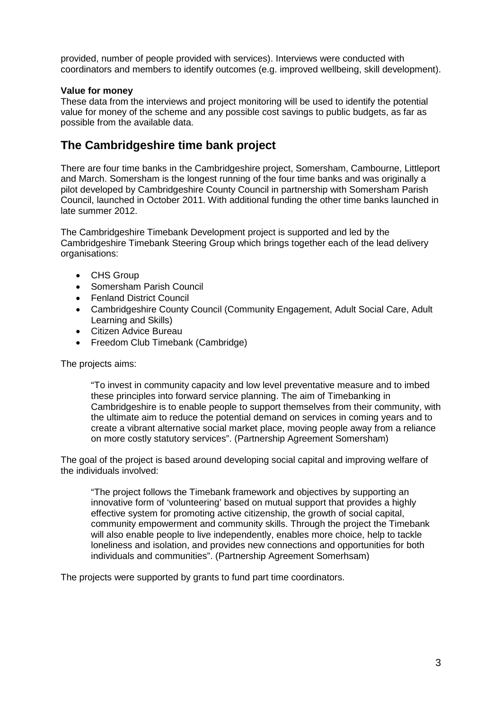provided, number of people provided with services). Interviews were conducted with coordinators and members to identify outcomes (e.g. improved wellbeing, skill development).

#### **Value for money**

These data from the interviews and project monitoring will be used to identify the potential value for money of the scheme and any possible cost savings to public budgets, as far as possible from the available data.

## **The Cambridgeshire time bank project**

There are four time banks in the Cambridgeshire project, Somersham, Cambourne, Littleport and March. Somersham is the longest running of the four time banks and was originally a pilot developed by Cambridgeshire County Council in partnership with Somersham Parish Council, launched in October 2011. With additional funding the other time banks launched in late summer 2012.

The Cambridgeshire Timebank Development project is supported and led by the Cambridgeshire Timebank Steering Group which brings together each of the lead delivery organisations:

- CHS Group
- Somersham Parish Council
- Fenland District Council
- Cambridgeshire County Council (Community Engagement, Adult Social Care, Adult Learning and Skills)
- Citizen Advice Bureau
- Freedom Club Timebank (Cambridge)

The projects aims:

"To invest in community capacity and low level preventative measure and to imbed these principles into forward service planning. The aim of Timebanking in Cambridgeshire is to enable people to support themselves from their community, with the ultimate aim to reduce the potential demand on services in coming years and to create a vibrant alternative social market place, moving people away from a reliance on more costly statutory services". (Partnership Agreement Somersham)

The goal of the project is based around developing social capital and improving welfare of the individuals involved:

"The project follows the Timebank framework and objectives by supporting an innovative form of 'volunteering' based on mutual support that provides a highly effective system for promoting active citizenship, the growth of social capital, community empowerment and community skills. Through the project the Timebank will also enable people to live independently, enables more choice, help to tackle loneliness and isolation, and provides new connections and opportunities for both individuals and communities". (Partnership Agreement Somerhsam)

The projects were supported by grants to fund part time coordinators.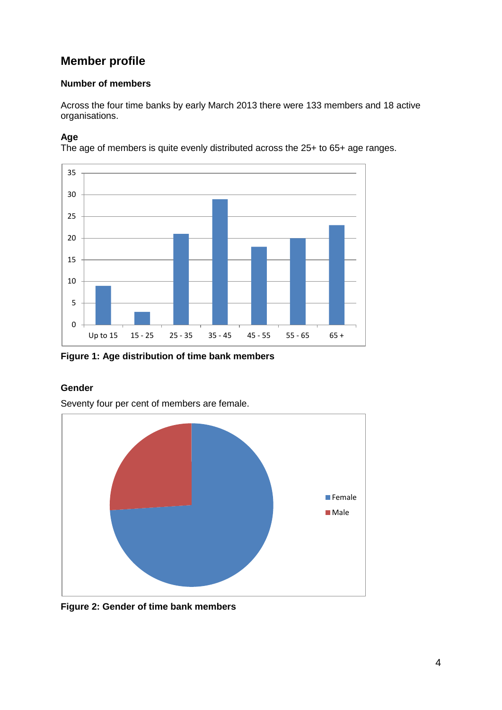# **Member profile**

#### **Number of members**

Across the four time banks by early March 2013 there were 133 members and 18 active organisations.

## **Age**

The age of members is quite evenly distributed across the 25+ to 65+ age ranges.



**Figure 1: Age distribution of time bank members**

## **Gender**

Seventy four per cent of members are female.



**Figure 2: Gender of time bank members**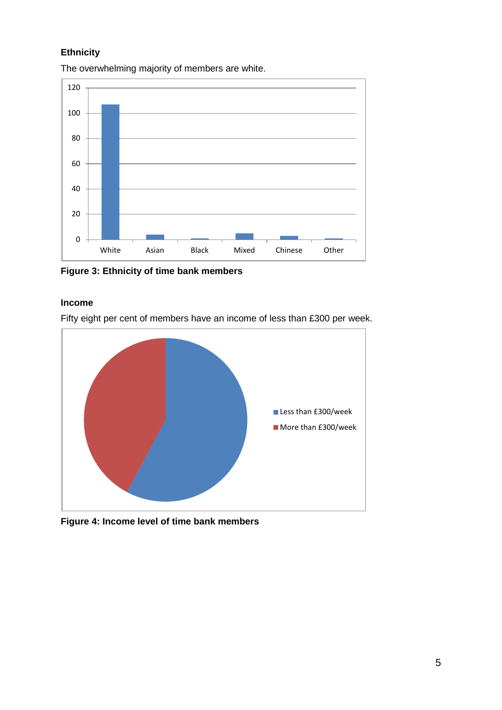## **Ethnicity**

The overwhelming majority of members are white.



**Figure 3: Ethnicity of time bank members**

#### **Income**

Fifty eight per cent of members have an income of less than £300 per week.



**Figure 4: Income level of time bank members**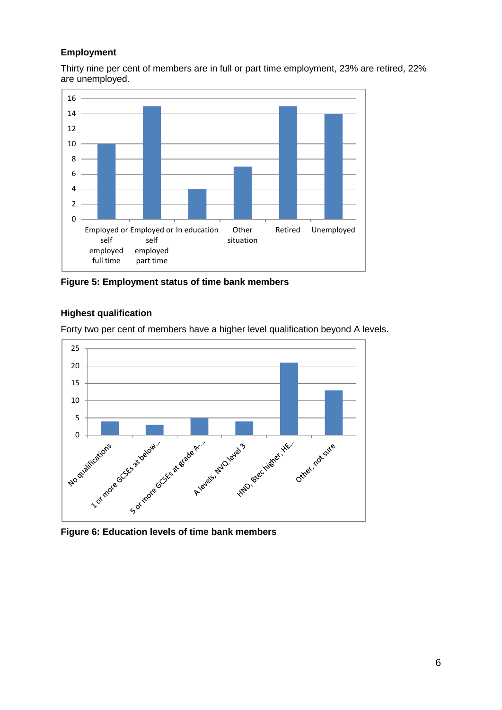### **Employment**

Thirty nine per cent of members are in full or part time employment, 23% are retired, 22% are unemployed.



**Figure 5: Employment status of time bank members**

### **Highest qualification**

Forty two per cent of members have a higher level qualification beyond A levels.



**Figure 6: Education levels of time bank members**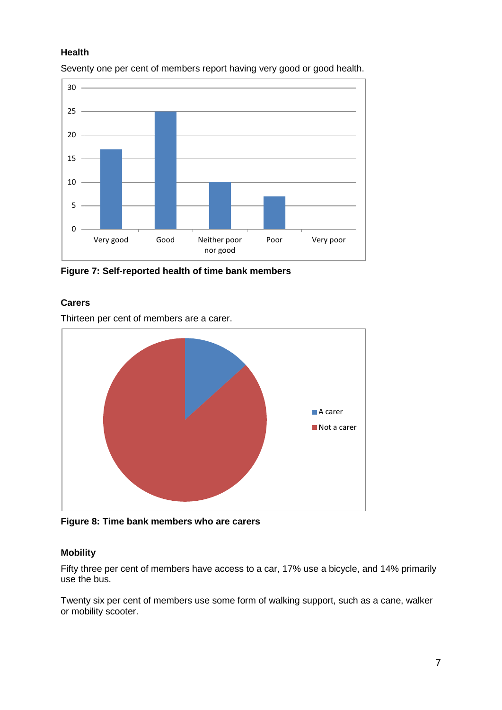#### **Health**



Seventy one per cent of members report having very good or good health.

**Figure 7: Self-reported health of time bank members**

#### **Carers**

Thirteen per cent of members are a carer.



**Figure 8: Time bank members who are carers**

#### **Mobility**

Fifty three per cent of members have access to a car, 17% use a bicycle, and 14% primarily use the bus.

Twenty six per cent of members use some form of walking support, such as a cane, walker or mobility scooter.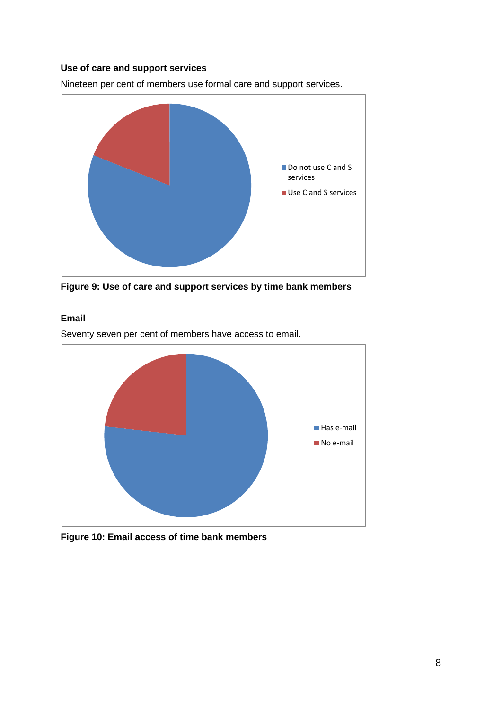#### **Use of care and support services**

Nineteen per cent of members use formal care and support services.



**Figure 9: Use of care and support services by time bank members**

#### **Email**

Seventy seven per cent of members have access to email.



**Figure 10: Email access of time bank members**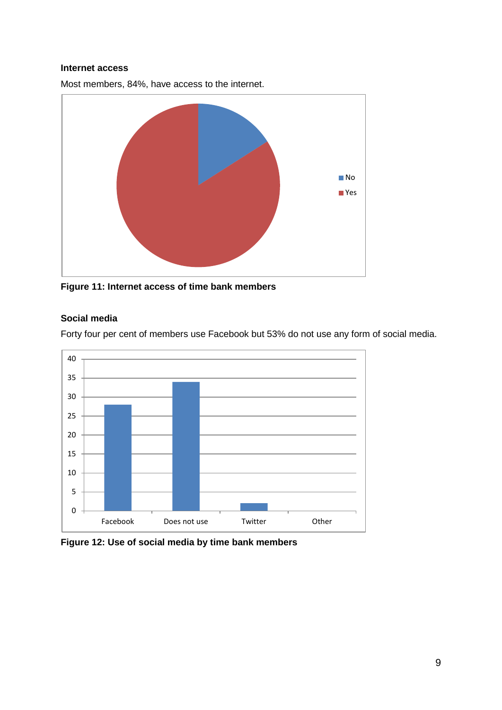#### **Internet access**

Most members, 84%, have access to the internet.



**Figure 11: Internet access of time bank members**

#### **Social media**

Forty four per cent of members use Facebook but 53% do not use any form of social media.



**Figure 12: Use of social media by time bank members**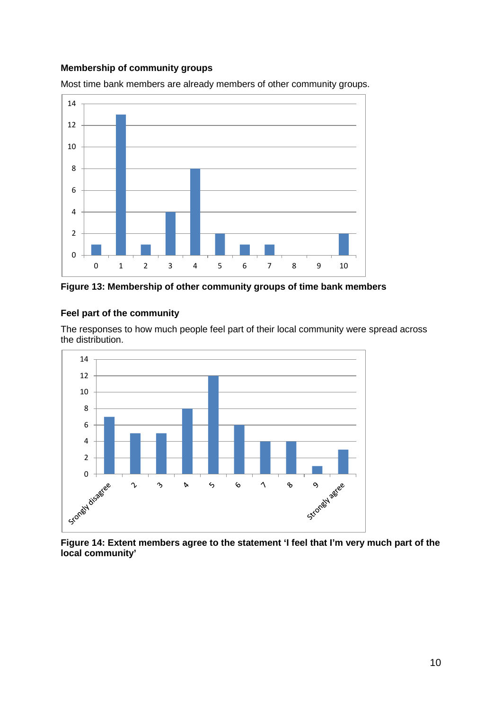#### **Membership of community groups**

Most time bank members are already members of other community groups.



**Figure 13: Membership of other community groups of time bank members**

#### **Feel part of the community**

The responses to how much people feel part of their local community were spread across the distribution.



**Figure 14: Extent members agree to the statement 'I feel that I'm very much part of the local community'**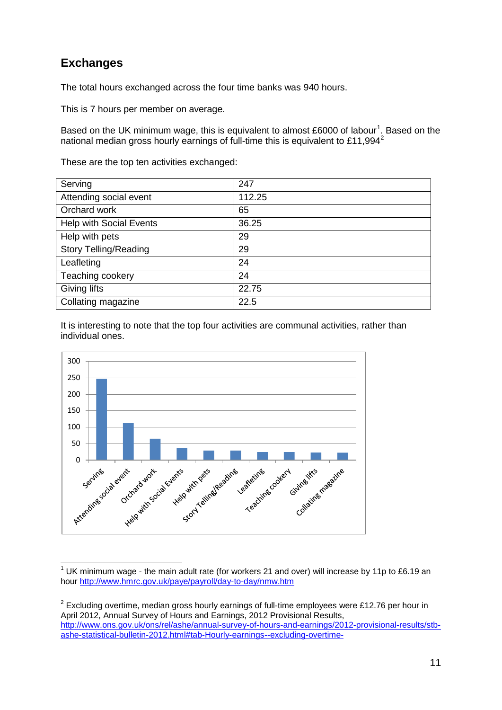# **Exchanges**

The total hours exchanged across the four time banks was 940 hours.

This is 7 hours per member on average.

Based on the UK minimum wage, this is equivalent to almost £6000 of labour<sup>[1](#page-10-0)</sup>. Based on the national median gross hourly earnings of full-time this is equivalent to £11,994<sup>[2](#page-10-1)</sup>

These are the top ten activities exchanged:

| Serving                        | 247    |
|--------------------------------|--------|
| Attending social event         | 112.25 |
| Orchard work                   | 65     |
| <b>Help with Social Events</b> | 36.25  |
| Help with pets                 | 29     |
| <b>Story Telling/Reading</b>   | 29     |
| Leafleting                     | 24     |
| Teaching cookery               | 24     |
| Giving lifts                   | 22.75  |
| Collating magazine             | 22.5   |

It is interesting to note that the top four activities are communal activities, rather than individual ones.



<span id="page-10-0"></span> $1$  UK minimum wage - the main adult rate (for workers 21 and over) will increase by 11p to £6.19 an hour<http://www.hmrc.gov.uk/paye/payroll/day-to-day/nmw.htm>

<span id="page-10-1"></span> $2$  Excluding overtime, median gross hourly earnings of full-time employees were £12.76 per hour in April 2012, Annual Survey of Hours and Earnings, 2012 Provisional Results, [http://www.ons.gov.uk/ons/rel/ashe/annual-survey-of-hours-and-earnings/2012-provisional-results/stb](http://www.ons.gov.uk/ons/rel/ashe/annual-survey-of-hours-and-earnings/2012-provisional-results/stb-ashe-statistical-bulletin-2012.html#tab-Hourly-earnings--excluding-overtime-)[ashe-statistical-bulletin-2012.html#tab-Hourly-earnings--excluding-overtime-](http://www.ons.gov.uk/ons/rel/ashe/annual-survey-of-hours-and-earnings/2012-provisional-results/stb-ashe-statistical-bulletin-2012.html#tab-Hourly-earnings--excluding-overtime-)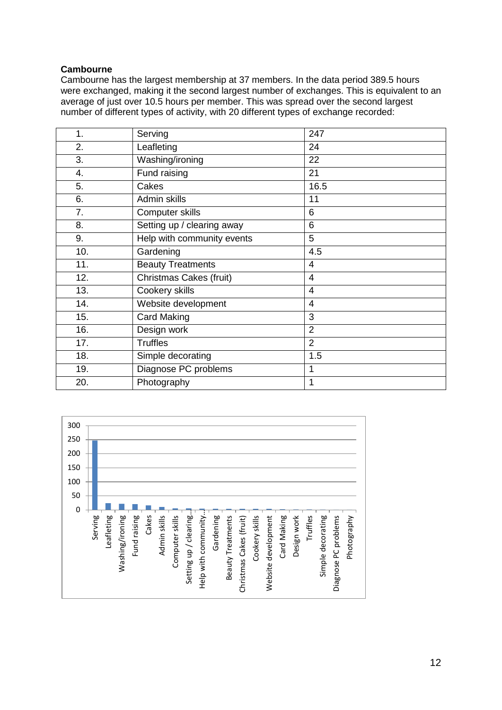#### **Cambourne**

Cambourne has the largest membership at 37 members. In the data period 389.5 hours were exchanged, making it the second largest number of exchanges. This is equivalent to an average of just over 10.5 hours per member. This was spread over the second largest number of different types of activity, with 20 different types of exchange recorded:

| 1.  | Serving                    | 247            |
|-----|----------------------------|----------------|
| 2.  | Leafleting                 | 24             |
| 3.  | Washing/ironing            | 22             |
| 4.  | Fund raising               | 21             |
| 5.  | Cakes                      | 16.5           |
| 6.  | Admin skills               | 11             |
| 7.  | Computer skills            | 6              |
| 8.  | Setting up / clearing away | 6              |
| 9.  | Help with community events | 5              |
| 10. | Gardening                  | 4.5            |
| 11. | <b>Beauty Treatments</b>   | $\overline{4}$ |
| 12. | Christmas Cakes (fruit)    | 4              |
| 13. | Cookery skills             | 4              |
| 14. | Website development        | $\overline{4}$ |
| 15. | <b>Card Making</b>         | 3              |
| 16. | Design work                | $\overline{2}$ |
| 17. | <b>Truffles</b>            | $\overline{2}$ |
| 18. | Simple decorating          | 1.5            |
| 19. | Diagnose PC problems       | 1              |
| 20. | Photography                | 1              |

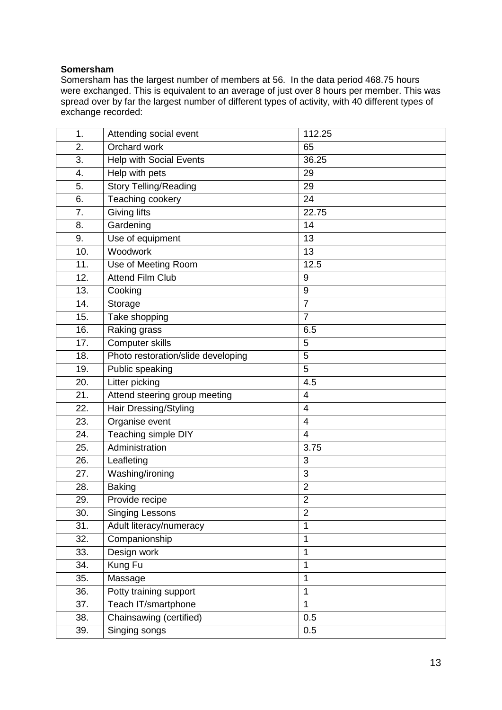#### **Somersham**

Somersham has the largest number of members at 56. In the data period 468.75 hours were exchanged. This is equivalent to an average of just over 8 hours per member. This was spread over by far the largest number of different types of activity, with 40 different types of exchange recorded:

| 1.  | Attending social event             | 112.25                   |
|-----|------------------------------------|--------------------------|
| 2.  | Orchard work                       | 65                       |
| 3.  | <b>Help with Social Events</b>     | 36.25                    |
| 4.  | Help with pets                     | 29                       |
| 5.  | <b>Story Telling/Reading</b>       | 29                       |
| 6.  | Teaching cookery                   | 24                       |
| 7.  | <b>Giving lifts</b>                | 22.75                    |
| 8.  | Gardening                          | 14                       |
| 9.  | Use of equipment                   | 13                       |
| 10. | Woodwork                           | 13                       |
| 11. | Use of Meeting Room                | 12.5                     |
| 12. | <b>Attend Film Club</b>            | $\boldsymbol{9}$         |
| 13. | Cooking                            | 9                        |
| 14. | Storage                            | $\overline{7}$           |
| 15. | Take shopping                      | $\overline{7}$           |
| 16. | Raking grass                       | 6.5                      |
| 17. | Computer skills                    | 5                        |
| 18. | Photo restoration/slide developing | $\overline{5}$           |
| 19. | Public speaking                    | $\overline{5}$           |
| 20. | Litter picking                     | 4.5                      |
| 21. | Attend steering group meeting      | $\overline{4}$           |
| 22. | Hair Dressing/Styling              | $\overline{\mathcal{A}}$ |
| 23. | Organise event                     | $\overline{4}$           |
| 24. | Teaching simple DIY                | $\overline{4}$           |
| 25. | Administration                     | 3.75                     |
| 26. | Leafleting                         | 3                        |
| 27. | Washing/ironing                    | 3                        |
| 28. | <b>Baking</b>                      | $\overline{2}$           |
| 29. | Provide recipe                     | $\overline{2}$           |
| 30. | <b>Singing Lessons</b>             | $\overline{2}$           |
| 31. | Adult literacy/numeracy            | $\mathbf{1}$             |
| 32. | Companionship                      | $\mathbf{1}$             |
| 33. | Design work                        | 1                        |
| 34. | Kung Fu                            | $\mathbf{1}$             |
| 35. | Massage                            | $\mathbf{1}$             |
| 36. | Potty training support             | $\mathbf{1}$             |
| 37. | Teach IT/smartphone                | $\mathbf{1}$             |
| 38. | Chainsawing (certified)            | 0.5                      |
| 39. | Singing songs                      | 0.5                      |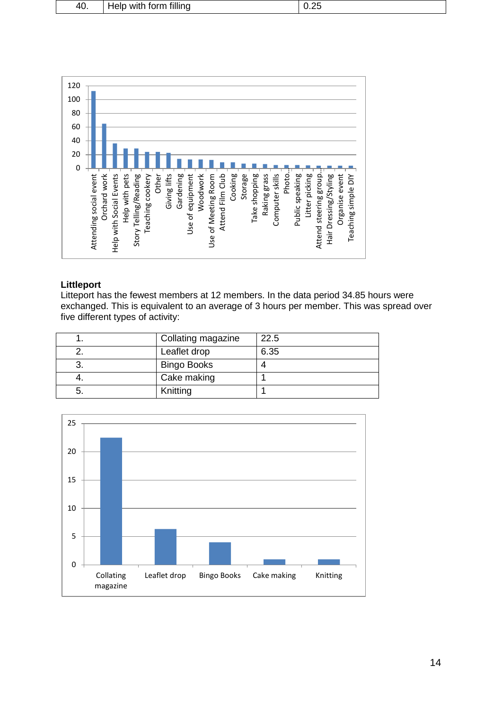| Help with form filling | 40. |  | $\mid$ 0.25 |
|------------------------|-----|--|-------------|
|------------------------|-----|--|-------------|

![](_page_13_Figure_1.jpeg)

#### **Littleport**

Litteport has the fewest members at 12 members. In the data period 34.85 hours were exchanged. This is equivalent to an average of 3 hours per member. This was spread over five different types of activity:

| Collating magazine | 22.5 |
|--------------------|------|
| Leaflet drop       | 6.35 |
| <b>Bingo Books</b> |      |
| Cake making        |      |
| Knitting           |      |

![](_page_13_Figure_5.jpeg)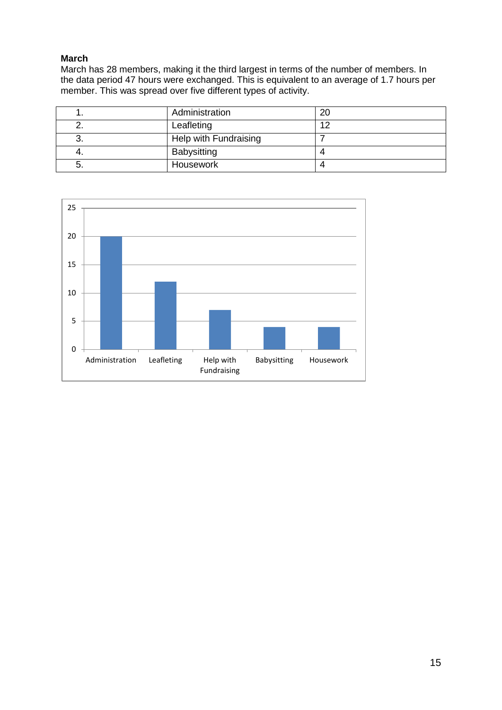### **March**

March has 28 members, making it the third largest in terms of the number of members. In the data period 47 hours were exchanged. This is equivalent to an average of 1.7 hours per member. This was spread over five different types of activity.

|    | Administration        | 20  |
|----|-----------------------|-----|
|    | Leafleting            | 1 ຕ |
| J. | Help with Fundraising |     |
| 4. | Babysitting           |     |
|    | Housework             |     |

![](_page_14_Figure_3.jpeg)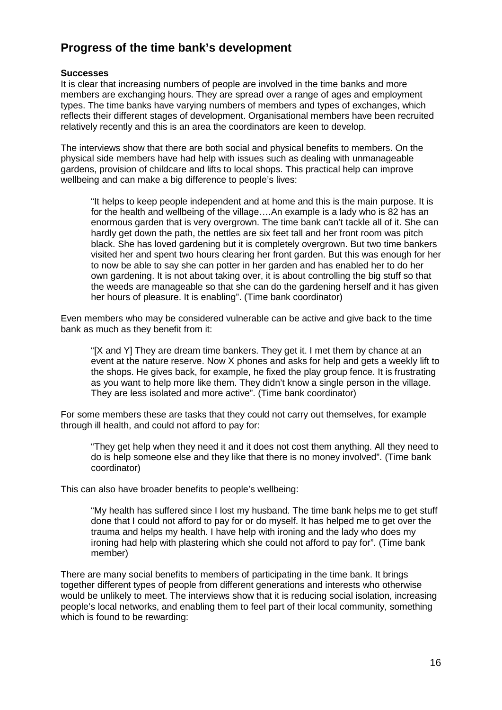# **Progress of the time bank's development**

#### **Successes**

It is clear that increasing numbers of people are involved in the time banks and more members are exchanging hours. They are spread over a range of ages and employment types. The time banks have varying numbers of members and types of exchanges, which reflects their different stages of development. Organisational members have been recruited relatively recently and this is an area the coordinators are keen to develop.

The interviews show that there are both social and physical benefits to members. On the physical side members have had help with issues such as dealing with unmanageable gardens, provision of childcare and lifts to local shops. This practical help can improve wellbeing and can make a big difference to people's lives:

"It helps to keep people independent and at home and this is the main purpose. It is for the health and wellbeing of the village….An example is a lady who is 82 has an enormous garden that is very overgrown. The time bank can't tackle all of it. She can hardly get down the path, the nettles are six feet tall and her front room was pitch black. She has loved gardening but it is completely overgrown. But two time bankers visited her and spent two hours clearing her front garden. But this was enough for her to now be able to say she can potter in her garden and has enabled her to do her own gardening. It is not about taking over, it is about controlling the big stuff so that the weeds are manageable so that she can do the gardening herself and it has given her hours of pleasure. It is enabling". (Time bank coordinator)

Even members who may be considered vulnerable can be active and give back to the time bank as much as they benefit from it:

"[X and Y] They are dream time bankers. They get it. I met them by chance at an event at the nature reserve. Now X phones and asks for help and gets a weekly lift to the shops. He gives back, for example, he fixed the play group fence. It is frustrating as you want to help more like them. They didn't know a single person in the village. They are less isolated and more active". (Time bank coordinator)

For some members these are tasks that they could not carry out themselves, for example through ill health, and could not afford to pay for:

"They get help when they need it and it does not cost them anything. All they need to do is help someone else and they like that there is no money involved". (Time bank coordinator)

This can also have broader benefits to people's wellbeing:

"My health has suffered since I lost my husband. The time bank helps me to get stuff done that I could not afford to pay for or do myself. It has helped me to get over the trauma and helps my health. I have help with ironing and the lady who does my ironing had help with plastering which she could not afford to pay for". (Time bank member)

There are many social benefits to members of participating in the time bank. It brings together different types of people from different generations and interests who otherwise would be unlikely to meet. The interviews show that it is reducing social isolation, increasing people's local networks, and enabling them to feel part of their local community, something which is found to be rewarding: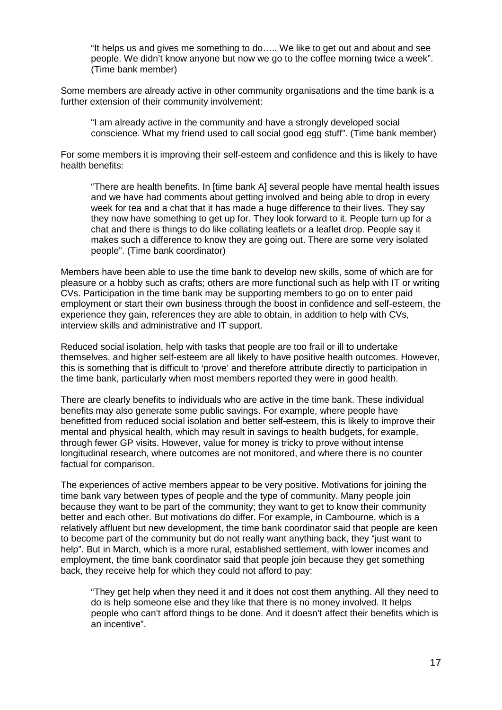"It helps us and gives me something to do….. We like to get out and about and see people. We didn't know anyone but now we go to the coffee morning twice a week". (Time bank member)

Some members are already active in other community organisations and the time bank is a further extension of their community involvement:

"I am already active in the community and have a strongly developed social conscience. What my friend used to call social good egg stuff". (Time bank member)

For some members it is improving their self-esteem and confidence and this is likely to have health benefits:

"There are health benefits. In [time bank A] several people have mental health issues and we have had comments about getting involved and being able to drop in every week for tea and a chat that it has made a huge difference to their lives. They say they now have something to get up for. They look forward to it. People turn up for a chat and there is things to do like collating leaflets or a leaflet drop. People say it makes such a difference to know they are going out. There are some very isolated people". (Time bank coordinator)

Members have been able to use the time bank to develop new skills, some of which are for pleasure or a hobby such as crafts; others are more functional such as help with IT or writing CVs. Participation in the time bank may be supporting members to go on to enter paid employment or start their own business through the boost in confidence and self-esteem, the experience they gain, references they are able to obtain, in addition to help with CVs, interview skills and administrative and IT support.

Reduced social isolation, help with tasks that people are too frail or ill to undertake themselves, and higher self-esteem are all likely to have positive health outcomes. However, this is something that is difficult to 'prove' and therefore attribute directly to participation in the time bank, particularly when most members reported they were in good health.

There are clearly benefits to individuals who are active in the time bank. These individual benefits may also generate some public savings. For example, where people have benefitted from reduced social isolation and better self-esteem, this is likely to improve their mental and physical health, which may result in savings to health budgets, for example, through fewer GP visits. However, value for money is tricky to prove without intense longitudinal research, where outcomes are not monitored, and where there is no counter factual for comparison.

The experiences of active members appear to be very positive. Motivations for joining the time bank vary between types of people and the type of community. Many people join because they want to be part of the community; they want to get to know their community better and each other. But motivations do differ. For example, in Cambourne, which is a relatively affluent but new development, the time bank coordinator said that people are keen to become part of the community but do not really want anything back, they "just want to help". But in March, which is a more rural, established settlement, with lower incomes and employment, the time bank coordinator said that people join because they get something back, they receive help for which they could not afford to pay:

"They get help when they need it and it does not cost them anything. All they need to do is help someone else and they like that there is no money involved. It helps people who can't afford things to be done. And it doesn't affect their benefits which is an incentive".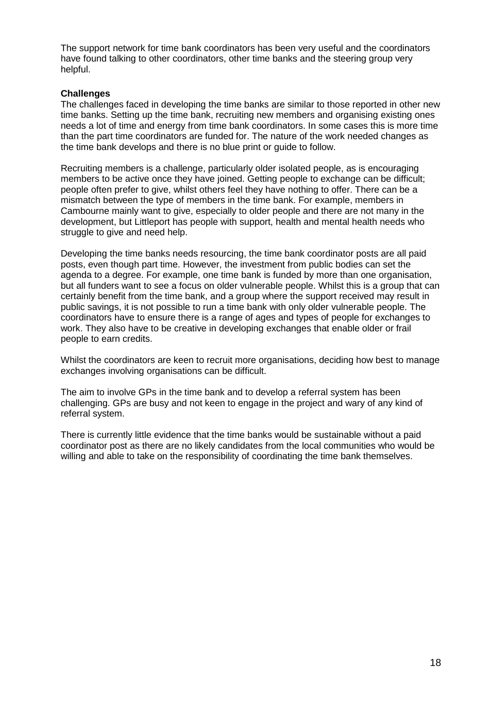The support network for time bank coordinators has been very useful and the coordinators have found talking to other coordinators, other time banks and the steering group very helpful.

#### **Challenges**

The challenges faced in developing the time banks are similar to those reported in other new time banks. Setting up the time bank, recruiting new members and organising existing ones needs a lot of time and energy from time bank coordinators. In some cases this is more time than the part time coordinators are funded for. The nature of the work needed changes as the time bank develops and there is no blue print or guide to follow.

Recruiting members is a challenge, particularly older isolated people, as is encouraging members to be active once they have joined. Getting people to exchange can be difficult; people often prefer to give, whilst others feel they have nothing to offer. There can be a mismatch between the type of members in the time bank. For example, members in Cambourne mainly want to give, especially to older people and there are not many in the development, but Littleport has people with support, health and mental health needs who struggle to give and need help.

Developing the time banks needs resourcing, the time bank coordinator posts are all paid posts, even though part time. However, the investment from public bodies can set the agenda to a degree. For example, one time bank is funded by more than one organisation, but all funders want to see a focus on older vulnerable people. Whilst this is a group that can certainly benefit from the time bank, and a group where the support received may result in public savings, it is not possible to run a time bank with only older vulnerable people. The coordinators have to ensure there is a range of ages and types of people for exchanges to work. They also have to be creative in developing exchanges that enable older or frail people to earn credits.

Whilst the coordinators are keen to recruit more organisations, deciding how best to manage exchanges involving organisations can be difficult.

The aim to involve GPs in the time bank and to develop a referral system has been challenging. GPs are busy and not keen to engage in the project and wary of any kind of referral system.

There is currently little evidence that the time banks would be sustainable without a paid coordinator post as there are no likely candidates from the local communities who would be willing and able to take on the responsibility of coordinating the time bank themselves.